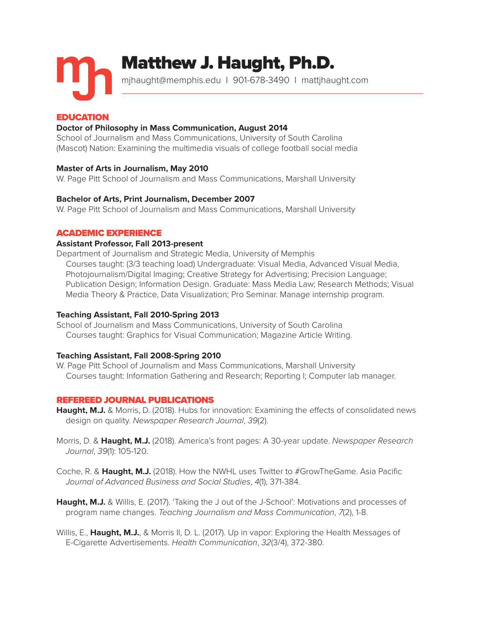

mjhaught@memphis.edu I 901-678-3490 I mattjhaught.com

# EDUCATION

# **Doctor of Philosophy in Mass Communication, August 2014**

School of Journalism and Mass Communications, University of South Carolina (Mascot) Nation: Examining the multimedia visuals of college football social media

# **Master of Arts in Journalism, May 2010**

W. Page Pitt School of Journalism and Mass Communications, Marshall University

# **Bachelor of Arts, Print Journalism, December 2007**

W. Page Pitt School of Journalism and Mass Communications, Marshall University

# ACADEMIC EXPERIENCE

# **Assistant Professor, Fall 2013-present**

Department of Journalism and Strategic Media, University of Memphis Courses taught: (3/3 teaching load) Undergraduate: Visual Media, Advanced Visual Media, Photojournalism/Digital Imaging; Creative Strategy for Advertising; Precision Language; Publication Design; Information Design. Graduate: Mass Media Law; Research Methods; Visual Media Theory & Practice, Data Visualization; Pro Seminar. Manage internship program.

# **Teaching Assistant, Fall 2010-Spring 2013**

School of Journalism and Mass Communications, University of South Carolina Courses taught: Graphics for Visual Communication; Magazine Article Writing.

# **Teaching Assistant, Fall 2008-Spring 2010**

W. Page Pitt School of Journalism and Mass Communications, Marshall University Courses taught: Information Gathering and Research; Reporting I; Computer lab manager.

# REFEREED JOURNAL PUBLICATIONS

**Haught, M.J.** & Morris, D. (2018). Hubs for innovation: Examining the effects of consolidated news design on quality. *Newspaper Research Journal*, *39*(2).

- Morris, D. & **Haught, M.J.** (2018). America's front pages: A 30-year update. *Newspaper Research Journal*, *39*(1): 105-120.
- Coche, R. & **Haught, M.J.** (2018). How the NWHL uses Twitter to #GrowTheGame. Asia Pacific *Journal of Advanced Business and Social Studies*, *4*(1), 371-384.
- **Haught, M.J.** & Willis, E. (2017). 'Taking the J out of the J-School': Motivations and processes of program name changes. *Teaching Journalism and Mass Communication*, *7*(2), 1-8.
- Willis, E., **Haught, M.J.**, & Morris II, D. L. (2017). Up in vapor: Exploring the Health Messages of E-Cigarette Advertisements. *Health Communication*, *32*(3/4), 372-380.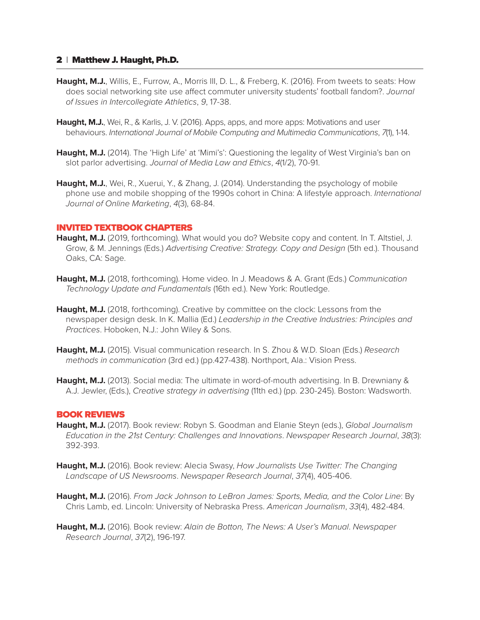- Haught, M.J., Willis, E., Furrow, A., Morris III, D. L., & Freberg, K. (2016). From tweets to seats: How does social networking site use affect commuter university students' football fandom?. *Journal of Issues in Intercollegiate Athletics*, *9*, 17-38.
- **Haught, M.J.**, Wei, R., & Karlis, J. V. (2016). Apps, apps, and more apps: Motivations and user behaviours. *International Journal of Mobile Computing and Multimedia Communications*, *7*(1), 1-14.
- **Haught, M.J.** (2014). The 'High Life' at 'Mimi's': Questioning the legality of West Virginia's ban on slot parlor advertising. *Journal of Media Law and Ethics*, *4*(1/2), 70-91.
- **Haught, M.J.**, Wei, R., Xuerui, Y., & Zhang, J. (2014). Understanding the psychology of mobile phone use and mobile shopping of the 1990s cohort in China: A lifestyle approach. *International Journal of Online Marketing*, *4*(3), 68-84.

# INVITED TEXTBOOK CHAPTERS

- **Haught, M.J.** (2019, forthcoming). What would you do? Website copy and content. In T. Altstiel, J. Grow, & M. Jennings (Eds.) *Advertising Creative: Strategy. Copy and Design* (5th ed.). Thousand Oaks, CA: Sage.
- **Haught, M.J.** (2018, forthcoming). Home video. In J. Meadows & A. Grant (Eds.) *Communication Technology Update and Fundamentals* (16th ed.). New York: Routledge.
- **Haught, M.J.** (2018, forthcoming). Creative by committee on the clock: Lessons from the newspaper design desk. In K. Mallia (Ed.) *Leadership in the Creative Industries: Principles and Practices*. Hoboken, N.J.: John Wiley & Sons.
- **Haught, M.J.** (2015). Visual communication research. In S. Zhou & W.D. Sloan (Eds.) *Research methods in communication* (3rd ed.) (pp.427-438). Northport, Ala.: Vision Press.
- **Haught, M.J.** (2013). Social media: The ultimate in word-of-mouth advertising. In B. Drewniany & A.J. Jewler, (Eds.), *Creative strategy in advertising* (11th ed.) (pp. 230-245). Boston: Wadsworth.

### BOOK REVIEWS

- **Haught, M.J.** (2017). Book review: Robyn S. Goodman and Elanie Steyn (eds.), *Global Journalism Education in the 21st Century: Challenges and Innovations*. *Newspaper Research Journal*, *38*(3): 392-393.
- **Haught, M.J.** (2016). Book review: Alecia Swasy, *How Journalists Use Twitter: The Changing Landscape of US Newsrooms*. *Newspaper Research Journal*, *37*(4), 405-406.
- **Haught, M.J.** (2016). *From Jack Johnson to LeBron James: Sports, Media, and the Color Line*: By Chris Lamb, ed. Lincoln: University of Nebraska Press. *American Journalism*, *33*(4), 482-484.
- **Haught, M.J.** (2016). Book review: *Alain de Botton, The News: A User's Manual*. *Newspaper Research Journal*, *37*(2), 196-197.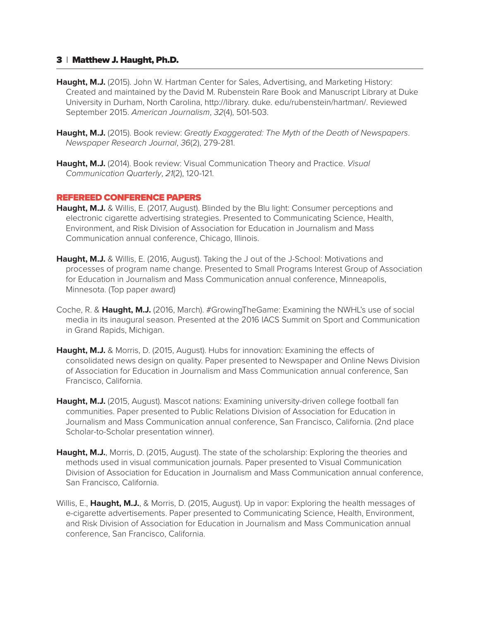- Haught, M.J. (2015). John W. Hartman Center for Sales, Advertising, and Marketing History: Created and maintained by the David M. Rubenstein Rare Book and Manuscript Library at Duke University in Durham, North Carolina, http://library. duke. edu/rubenstein/hartman/. Reviewed September 2015. *American Journalism*, *32*(4), 501-503.
- **Haught, M.J.** (2015). Book review: *Greatly Exaggerated: The Myth of the Death of Newspapers*. *Newspaper Research Journal*, *36*(2), 279-281.
- **Haught, M.J.** (2014). Book review: Visual Communication Theory and Practice. *Visual Communication Quarterly*, *21*(2), 120-121.

### REFEREED CONFERENCE PAPERS

- **Haught, M.J.** & Willis, E. (2017, August). Blinded by the Blu light: Consumer perceptions and electronic cigarette advertising strategies. Presented to Communicating Science, Health, Environment, and Risk Division of Association for Education in Journalism and Mass Communication annual conference, Chicago, Illinois.
- **Haught, M.J.** & Willis, E. (2016, August). Taking the J out of the J-School: Motivations and processes of program name change. Presented to Small Programs Interest Group of Association for Education in Journalism and Mass Communication annual conference, Minneapolis, Minnesota. (Top paper award)
- Coche, R. & **Haught, M.J.** (2016, March). #GrowingTheGame: Examining the NWHL's use of social media in its inaugural season. Presented at the 2016 IACS Summit on Sport and Communication in Grand Rapids, Michigan.
- **Haught, M.J.** & Morris, D. (2015, August). Hubs for innovation: Examining the effects of consolidated news design on quality. Paper presented to Newspaper and Online News Division of Association for Education in Journalism and Mass Communication annual conference, San Francisco, California.
- **Haught, M.J.** (2015, August). Mascot nations: Examining university-driven college football fan communities. Paper presented to Public Relations Division of Association for Education in Journalism and Mass Communication annual conference, San Francisco, California. (2nd place Scholar-to-Scholar presentation winner).
- **Haught, M.J.**, Morris, D. (2015, August). The state of the scholarship: Exploring the theories and methods used in visual communication journals. Paper presented to Visual Communication Division of Association for Education in Journalism and Mass Communication annual conference, San Francisco, California.
- Willis, E., **Haught, M.J.**, & Morris, D. (2015, August). Up in vapor: Exploring the health messages of e-cigarette advertisements. Paper presented to Communicating Science, Health, Environment, and Risk Division of Association for Education in Journalism and Mass Communication annual conference, San Francisco, California.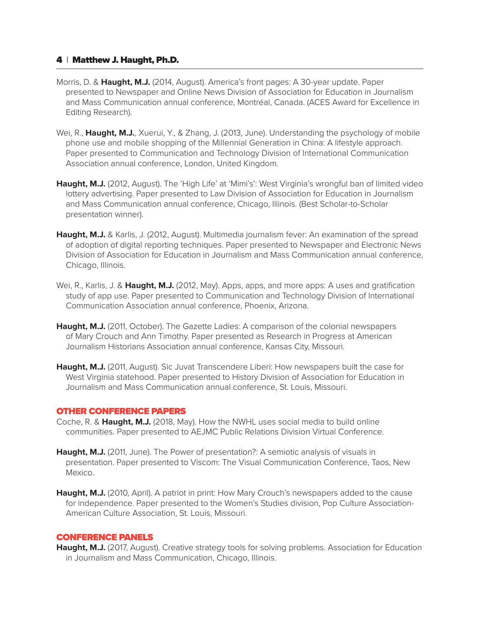- Morris, D. & **Haught, M.J.** (2014, August). America's front pages: A 30-year update. Paper presented to Newspaper and Online News Division of Association for Education in Journalism and Mass Communication annual conference, Montréal, Canada. (ACES Award for Excellence in Editing Research).
- Wei, R., Haught, M.J., Xuerui, Y., & Zhang, J. (2013, June). Understanding the psychology of mobile phone use and mobile shopping of the Millennial Generation in China: A lifestyle approach. Paper presented to Communication and Technology Division of International Communication Association annual conference, London, United Kingdom.
- **Haught, M.J.** (2012, August). The 'High Life' at 'Mimi's': West Virginia's wrongful ban of limited video lottery advertising. Paper presented to Law Division of Association for Education in Journalism and Mass Communication annual conference, Chicago, Illinois. (Best Scholar-to-Scholar presentation winner).
- **Haught, M.J.** & Karlis, J. (2012, August). Multimedia journalism fever: An examination of the spread of adoption of digital reporting techniques. Paper presented to Newspaper and Electronic News Division of Association for Education in Journalism and Mass Communication annual conference, Chicago, Illinois.
- Wei, R., Karlis, J. & **Haught, M.J.** (2012, May). Apps, apps, and more apps: A uses and gratification study of app use. Paper presented to Communication and Technology Division of International Communication Association annual conference, Phoenix, Arizona.
- **Haught, M.J.** (2011, October). The Gazette Ladies: A comparison of the colonial newspapers of Mary Crouch and Ann Timothy. Paper presented as Research in Progress at American Journalism Historians Association annual conference, Kansas City, Missouri.
- **Haught, M.J.** (2011, August). Sic Juvat Transcendere Liberi: How newspapers built the case for West Virginia statehood. Paper presented to History Division of Association for Education in Journalism and Mass Communication annual conference, St. Louis, Missouri.

# OTHER CONFERENCE PAPERS

- Coche, R. & **Haught, M.J.** (2018, May). How the NWHL uses social media to build online communities. Paper presented to AEJMC Public Relations Division Virtual Conference.
- **Haught, M.J.** (2011, June). The Power of presentation?: A semiotic analysis of visuals in presentation. Paper presented to Viscom: The Visual Communication Conference, Taos, New Mexico.
- **Haught, M.J.** (2010, April). A patriot in print: How Mary Crouch's newspapers added to the cause for independence. Paper presented to the Women's Studies division, Pop Culture Association-American Culture Association, St. Louis, Missouri.

# CONFERENCE PANELS

**Haught, M.J.** (2017, August). Creative strategy tools for solving problems. Association for Education in Journalism and Mass Communication, Chicago, Illinois.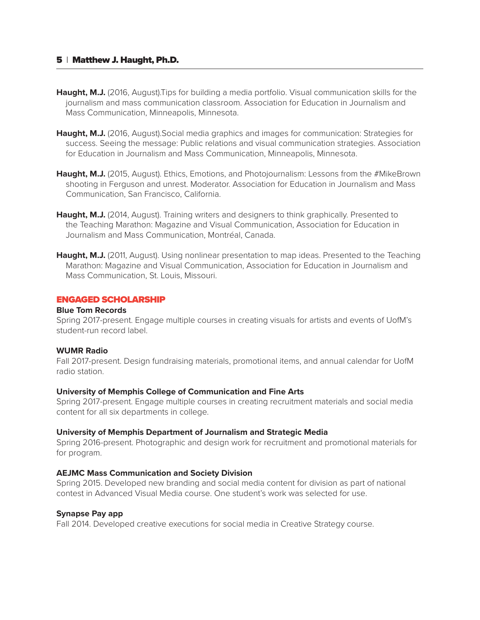- **Haught, M.J.** (2016, August). Tips for building a media portfolio. Visual communication skills for the journalism and mass communication classroom. Association for Education in Journalism and Mass Communication, Minneapolis, Minnesota.
- Haught, M.J. (2016, August). Social media graphics and images for communication: Strategies for success. Seeing the message: Public relations and visual communication strategies. Association for Education in Journalism and Mass Communication, Minneapolis, Minnesota.
- Haught, M.J. (2015, August). Ethics, Emotions, and Photojournalism: Lessons from the #MikeBrown shooting in Ferguson and unrest. Moderator. Association for Education in Journalism and Mass Communication, San Francisco, California.
- Haught, M.J. (2014, August). Training writers and designers to think graphically. Presented to the Teaching Marathon: Magazine and Visual Communication, Association for Education in Journalism and Mass Communication, Montréal, Canada.
- **Haught, M.J.** (2011, August). Using nonlinear presentation to map ideas. Presented to the Teaching Marathon: Magazine and Visual Communication, Association for Education in Journalism and Mass Communication, St. Louis, Missouri.

# ENGAGED SCHOLARSHIP

### **Blue Tom Records**

Spring 2017-present. Engage multiple courses in creating visuals for artists and events of UofM's student-run record label.

### **WUMR Radio**

Fall 2017-present. Design fundraising materials, promotional items, and annual calendar for UofM radio station.

### **University of Memphis College of Communication and Fine Arts**

Spring 2017-present. Engage multiple courses in creating recruitment materials and social media content for all six departments in college.

### **University of Memphis Department of Journalism and Strategic Media**

Spring 2016-present. Photographic and design work for recruitment and promotional materials for for program.

# **AEJMC Mass Communication and Society Division**

Spring 2015. Developed new branding and social media content for division as part of national contest in Advanced Visual Media course. One student's work was selected for use.

### **Synapse Pay app**

Fall 2014. Developed creative executions for social media in Creative Strategy course.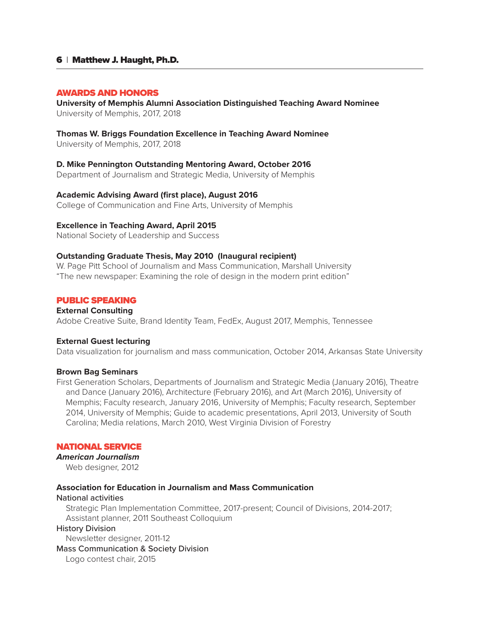### AWARDS AND HONORS

### **University of Memphis Alumni Association Distinguished Teaching Award Nominee** University of Memphis, 2017, 2018

### **Thomas W. Briggs Foundation Excellence in Teaching Award Nominee**

University of Memphis, 2017, 2018

# **D. Mike Pennington Outstanding Mentoring Award, October 2016**

Department of Journalism and Strategic Media, University of Memphis

### **Academic Advising Award (first place), August 2016**

College of Communication and Fine Arts, University of Memphis

# **Excellence in Teaching Award, April 2015**

National Society of Leadership and Success

# **Outstanding Graduate Thesis, May 2010 (Inaugural recipient)**

W. Page Pitt School of Journalism and Mass Communication, Marshall University "The new newspaper: Examining the role of design in the modern print edition"

# PUBLIC SPEAKING

# **External Consulting**

Adobe Creative Suite, Brand Identity Team, FedEx, August 2017, Memphis, Tennessee

# **External Guest lecturing**

Data visualization for journalism and mass communication, October 2014, Arkansas State University

### **Brown Bag Seminars**

First Generation Scholars, Departments of Journalism and Strategic Media (January 2016), Theatre and Dance (January 2016), Architecture (February 2016), and Art (March 2016), University of Memphis; Faculty research, January 2016, University of Memphis; Faculty research, September 2014, University of Memphis; Guide to academic presentations, April 2013, University of South Carolina; Media relations, March 2010, West Virginia Division of Forestry

# NATIONAL SERVICE

# *American Journalism*

Web designer, 2012

# **Association for Education in Journalism and Mass Communication**

### National activities

Strategic Plan Implementation Committee, 2017-present; Council of Divisions, 2014-2017; Assistant planner, 2011 Southeast Colloquium

# History Division

Newsletter designer, 2011-12

Mass Communication & Society Division

Logo contest chair, 2015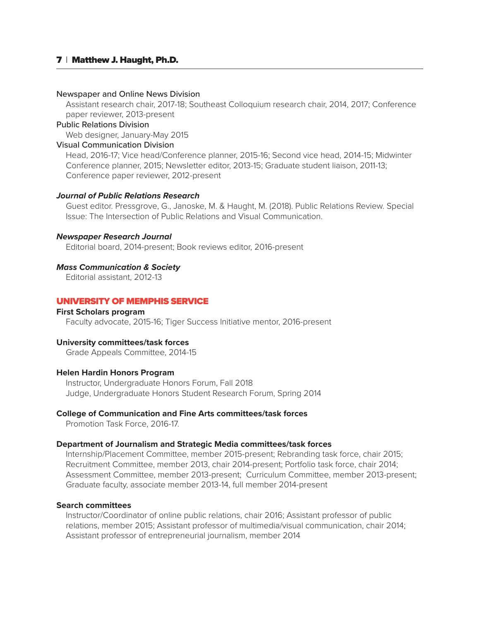#### Newspaper and Online News Division

Assistant research chair, 2017-18; Southeast Colloquium research chair, 2014, 2017; Conference paper reviewer, 2013-present

### Public Relations Division

Web designer, January-May 2015

### Visual Communication Division

Head, 2016-17; Vice head/Conference planner, 2015-16; Second vice head, 2014-15; Midwinter Conference planner, 2015; Newsletter editor, 2013-15; Graduate student liaison, 2011-13; Conference paper reviewer, 2012-present

### *Journal of Public Relations Research*

Guest editor. Pressgrove, G., Janoske, M. & Haught, M. (2018). Public Relations Review. Special Issue: The Intersection of Public Relations and Visual Communication.

### *Newspaper Research Journal*

Editorial board, 2014-present; Book reviews editor, 2016-present

### *Mass Communication & Society*

Editorial assistant, 2012-13

# UNIVERSITY OF MEMPHIS SERVICE

### **First Scholars program**

Faculty advocate, 2015-16; Tiger Success Initiative mentor, 2016-present

#### **University committees/task forces**

Grade Appeals Committee, 2014-15

#### **Helen Hardin Honors Program**

Instructor, Undergraduate Honors Forum, Fall 2018 Judge, Undergraduate Honors Student Research Forum, Spring 2014

# **College of Communication and Fine Arts committees/task forces**

Promotion Task Force, 2016-17.

### **Department of Journalism and Strategic Media committees/task forces**

Internship/Placement Committee, member 2015-present; Rebranding task force, chair 2015; Recruitment Committee, member 2013, chair 2014-present; Portfolio task force, chair 2014; Assessment Committee, member 2013-present; Curriculum Committee, member 2013-present; Graduate faculty, associate member 2013-14, full member 2014-present

# **Search committees**

Instructor/Coordinator of online public relations, chair 2016; Assistant professor of public relations, member 2015; Assistant professor of multimedia/visual communication, chair 2014; Assistant professor of entrepreneurial journalism, member 2014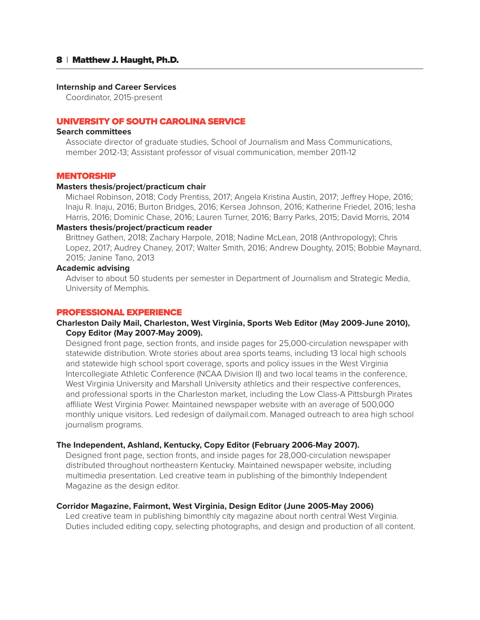#### **Internship and Career Services**

Coordinator, 2015-present

# UNIVERSITY OF SOUTH CAROLINA SERVICE

### **Search committees**

Associate director of graduate studies, School of Journalism and Mass Communications, member 2012-13; Assistant professor of visual communication, member 2011-12

### **MENTORSHIP**

### **Masters thesis/project/practicum chair**

Michael Robinson, 2018; Cody Prentiss, 2017; Angela Kristina Austin, 2017; Jeffrey Hope, 2016; Inaju R. Inaju, 2016; Burton Bridges, 2016; Kersea Johnson, 2016; Katherine Friedel, 2016; Iesha Harris, 2016; Dominic Chase, 2016; Lauren Turner, 2016; Barry Parks, 2015; David Morris, 2014

# **Masters thesis/project/practicum reader**

Brittney Gathen, 2018; Zachary Harpole, 2018; Nadine McLean, 2018 (Anthropology); Chris Lopez, 2017; Audrey Chaney, 2017; Walter Smith, 2016; Andrew Doughty, 2015; Bobbie Maynard, 2015; Janine Tano, 2013

# **Academic advising**

Adviser to about 50 students per semester in Department of Journalism and Strategic Media, University of Memphis.

# PROFESSIONAL EXPERIENCE

# **Charleston Daily Mail, Charleston, West Virginia, Sports Web Editor (May 2009-June 2010), Copy Editor (May 2007-May 2009).**

Designed front page, section fronts, and inside pages for 25,000-circulation newspaper with statewide distribution. Wrote stories about area sports teams, including 13 local high schools and statewide high school sport coverage, sports and policy issues in the West Virginia Intercollegiate Athletic Conference (NCAA Division II) and two local teams in the conference, West Virginia University and Marshall University athletics and their respective conferences, and professional sports in the Charleston market, including the Low Class-A Pittsburgh Pirates affiliate West Virginia Power. Maintained newspaper website with an average of 500,000 monthly unique visitors. Led redesign of dailymail.com. Managed outreach to area high school journalism programs.

### **The Independent, Ashland, Kentucky, Copy Editor (February 2006-May 2007).**

Designed front page, section fronts, and inside pages for 28,000-circulation newspaper distributed throughout northeastern Kentucky. Maintained newspaper website, including multimedia presentation. Led creative team in publishing of the bimonthly Independent Magazine as the design editor.

### **Corridor Magazine, Fairmont, West Virginia, Design Editor (June 2005-May 2006)**

Led creative team in publishing bimonthly city magazine about north central West Virginia. Duties included editing copy, selecting photographs, and design and production of all content.